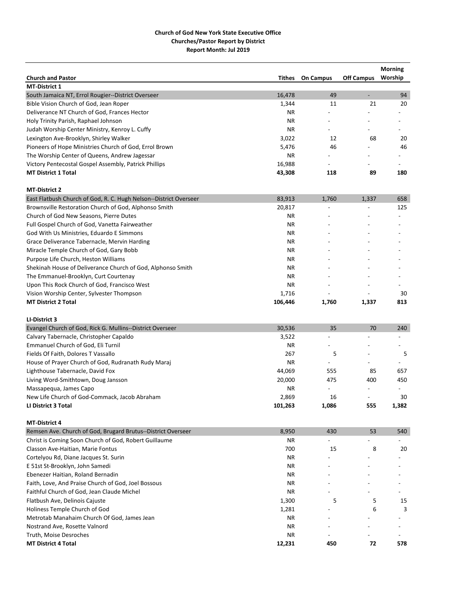|                                                                   |           |                          |                          | <b>Morning</b> |
|-------------------------------------------------------------------|-----------|--------------------------|--------------------------|----------------|
| <b>Church and Pastor</b>                                          | Tithes    | <b>On Campus</b>         | <b>Off Campus</b>        | Worship        |
| <b>MT-District 1</b>                                              |           |                          |                          |                |
| South Jamaica NT, Errol Rougier--District Overseer                | 16,478    | 49                       |                          | 94             |
| Bible Vision Church of God, Jean Roper                            | 1,344     | 11                       | 21                       | 20             |
| Deliverance NT Church of God, Frances Hector                      | ΝR        |                          |                          |                |
| Holy Trinity Parish, Raphael Johnson                              | <b>NR</b> |                          |                          |                |
| Judah Worship Center Ministry, Kenroy L. Cuffy                    | ΝR        |                          |                          |                |
| Lexington Ave-Brooklyn, Shirley Walker                            | 3,022     | 12                       | 68                       | 20             |
| Pioneers of Hope Ministries Church of God, Errol Brown            | 5,476     | 46                       |                          | 46             |
| The Worship Center of Queens, Andrew Jagessar                     | ΝR        | $\overline{a}$           |                          |                |
| Victory Pentecostal Gospel Assembly, Patrick Phillips             | 16,988    | $\overline{a}$           |                          |                |
| <b>MT District 1 Total</b>                                        | 43,308    | 118                      | 89                       | 180            |
| <b>MT-District 2</b>                                              |           |                          |                          |                |
| East Flatbush Church of God, R. C. Hugh Nelson--District Overseer | 83,913    | 1,760                    | 1,337                    | 658            |
| Brownsville Restoration Church of God, Alphonso Smith             | 20,817    |                          |                          | 125            |
| Church of God New Seasons, Pierre Dutes                           | ΝR        | $\overline{a}$           |                          |                |
| Full Gospel Church of God, Vanetta Fairweather                    | ΝR        |                          |                          |                |
| God With Us Ministries, Eduardo E Simmons                         | <b>NR</b> |                          |                          |                |
| Grace Deliverance Tabernacle, Mervin Harding                      | ΝR        |                          |                          |                |
| Miracle Temple Church of God, Gary Bobb                           | ΝR        |                          |                          |                |
| Purpose Life Church, Heston Williams                              | ΝR        |                          |                          |                |
| Shekinah House of Deliverance Church of God, Alphonso Smith       | ΝR        |                          |                          |                |
| The Emmanuel-Brooklyn, Curt Courtenay                             | <b>NR</b> |                          |                          |                |
| Upon This Rock Church of God, Francisco West                      | ΝR        | $\overline{\phantom{a}}$ | $\overline{\phantom{a}}$ |                |
| Vision Worship Center, Sylvester Thompson                         | 1,716     |                          |                          | 30             |
| <b>MT District 2 Total</b>                                        | 106,446   | 1,760                    | 1,337                    | 813            |
|                                                                   |           |                          |                          |                |
| LI-District 3                                                     |           |                          |                          |                |
| Evangel Church of God, Rick G. Mullins--District Overseer         | 30,536    | 35                       | 70                       | 240            |
| Calvary Tabernacle, Christopher Capaldo                           | 3,522     |                          |                          |                |
| Emmanuel Church of God, Eli Turnil                                | ΝR        | $\overline{\phantom{0}}$ |                          |                |
| Fields Of Faith, Dolores T Vassallo                               | 267       | 5                        |                          | 5              |
| House of Prayer Church of God, Rudranath Rudy Maraj               | ΝR        |                          |                          |                |
| Lighthouse Tabernacle, David Fox                                  | 44,069    | 555                      | 85                       | 657            |
| Living Word-Smithtown, Doug Jansson                               | 20,000    | 475                      | 400                      | 450            |
| Massapequa, James Capo                                            | <b>NR</b> |                          |                          |                |
| New Life Church of God-Commack, Jacob Abraham                     | 2,869     | 16                       |                          | 30             |
| LI District 3 Total                                               | 101,263   | 1,086                    | 555                      | 1,382          |
| <b>MT-District 4</b>                                              |           |                          |                          |                |
| Remsen Ave. Church of God, Brugard Brutus--District Overseer      | 8,950     | 430                      | 53                       | 540            |
| Christ is Coming Soon Church of God, Robert Guillaume             | ΝR        |                          |                          |                |
| Classon Ave-Haitian, Marie Fontus                                 | 700       | 15                       | 8                        | 20             |
| Cortelyou Rd, Diane Jacques St. Surin                             | ΝR        |                          |                          |                |
| E 51st St-Brooklyn, John Samedi                                   | ΝR        |                          |                          |                |
| Ebenezer Haitian, Roland Bernadin                                 | ΝR        |                          |                          |                |
| Faith, Love, And Praise Church of God, Joel Bossous               | ΝR        |                          |                          |                |
| Faithful Church of God, Jean Claude Michel                        | <b>NR</b> |                          |                          |                |
| Flatbush Ave, Delinois Cajuste                                    | 1,300     | 5                        | 5                        | 15             |
| Holiness Temple Church of God                                     | 1,281     |                          | 6                        | 3              |
| Metrotab Manahaim Church Of God, James Jean                       | ΝR        |                          |                          |                |
| Nostrand Ave, Rosette Valnord                                     | <b>NR</b> |                          |                          |                |
| Truth, Moise Desroches                                            | ΝR        | $\overline{\phantom{a}}$ |                          |                |
| <b>MT District 4 Total</b>                                        | 12,231    | 450                      | 72                       | 578            |
|                                                                   |           |                          |                          |                |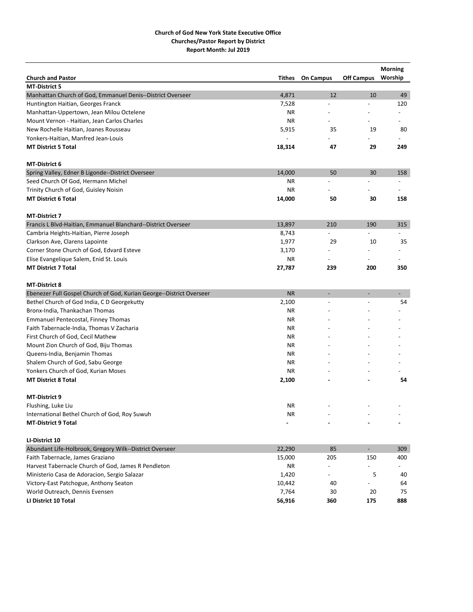| <b>Church and Pastor</b>                                             | Tithes    | <b>On Campus</b>         | <b>Off Campus</b> | <b>Morning</b><br>Worship |
|----------------------------------------------------------------------|-----------|--------------------------|-------------------|---------------------------|
| <b>MT-District 5</b>                                                 |           |                          |                   |                           |
| Manhattan Church of God, Emmanuel Denis--District Overseer           | 4,871     | 12                       | 10                | 49                        |
| Huntington Haitian, Georges Franck                                   | 7,528     |                          |                   | 120                       |
| Manhattan-Uppertown, Jean Milou Octelene                             | <b>NR</b> | $\overline{a}$           |                   | $\overline{a}$            |
| Mount Vernon - Haitian, Jean Carlos Charles                          | ΝR        | $\overline{a}$           | $\overline{a}$    | $\overline{\phantom{a}}$  |
| New Rochelle Haitian, Joanes Rousseau                                | 5,915     | 35                       | 19                | 80                        |
| Yonkers-Haitian, Manfred Jean-Louis                                  |           |                          |                   |                           |
| <b>MT District 5 Total</b>                                           | 18,314    | 47                       | 29                | 249                       |
| <b>MT-District 6</b>                                                 |           |                          |                   |                           |
| Spring Valley, Edner B Ligonde--District Overseer                    | 14,000    | 50                       | 30                | 158                       |
| Seed Church Of God, Hermann Michel                                   | ΝR        | $\overline{a}$           | $\overline{a}$    | $\overline{\phantom{a}}$  |
| Trinity Church of God, Guisley Noisin                                | <b>NR</b> |                          |                   |                           |
| <b>MT District 6 Total</b>                                           | 14,000    | 50                       | 30                | 158                       |
| <b>MT-District 7</b>                                                 |           |                          |                   |                           |
| Francis L Blvd-Haitian, Emmanuel Blanchard--District Overseer        | 13,897    | 210                      | 190               | 315                       |
| Cambria Heights-Haitian, Pierre Joseph                               | 8,743     | $\overline{a}$           |                   |                           |
| Clarkson Ave, Clarens Lapointe                                       | 1,977     | 29                       | 10                | 35                        |
| Corner Stone Church of God, Edvard Esteve                            | 3,170     | $\overline{a}$           |                   | $\overline{\phantom{a}}$  |
| Elise Evangelique Salem, Enid St. Louis                              | ΝR        | $\overline{\phantom{a}}$ | $\overline{a}$    |                           |
| <b>MT District 7 Total</b>                                           | 27,787    | 239                      | 200               | 350                       |
| <b>MT-District 8</b>                                                 |           |                          |                   |                           |
| Ebenezer Full Gospel Church of God, Kurian George--District Overseer | <b>NR</b> |                          |                   |                           |
| Bethel Church of God India, C D Georgekutty                          | 2,100     | $\overline{a}$           | $\overline{a}$    | 54                        |
| Bronx-India, Thankachan Thomas                                       | <b>NR</b> |                          |                   |                           |
| Emmanuel Pentecostal, Finney Thomas                                  | <b>NR</b> |                          |                   |                           |
| Faith Tabernacle-India, Thomas V Zacharia                            | <b>NR</b> |                          |                   |                           |
| First Church of God, Cecil Mathew                                    | <b>NR</b> |                          |                   |                           |
| Mount Zion Church of God, Biju Thomas                                | <b>NR</b> |                          |                   |                           |
| Queens-India, Benjamin Thomas                                        | <b>NR</b> |                          |                   |                           |
| Shalem Church of God, Sabu George                                    | <b>NR</b> |                          |                   |                           |
| Yonkers Church of God, Kurian Moses                                  | <b>NR</b> |                          |                   |                           |
| <b>MT District 8 Total</b>                                           | 2,100     |                          |                   | 54                        |
| <b>MT-District 9</b>                                                 |           |                          |                   |                           |
| Flushing, Luke Liu                                                   | <b>NR</b> |                          |                   |                           |
| International Bethel Church of God, Roy Suwuh                        | ΝR        |                          |                   |                           |
| <b>MT-District 9 Total</b>                                           |           |                          |                   |                           |
| LI-District 10                                                       |           |                          |                   |                           |
| Abundant Life-Holbrook, Gregory Wilk--District Overseer              | 22,290    | 85                       | $\sim$            | 309                       |
| Faith Tabernacle, James Graziano                                     | 15,000    | 205                      | 150               | 400                       |
| Harvest Tabernacle Church of God, James R Pendleton                  | NR        |                          |                   |                           |
| Ministerio Casa de Adoracion, Sergio Salazar                         | 1,420     | $\overline{a}$           | 5                 | 40                        |
| Victory-East Patchogue, Anthony Seaton                               | 10,442    | 40                       |                   | 64                        |
| World Outreach, Dennis Evensen                                       | 7,764     | 30                       | 20                | 75                        |
| LI District 10 Total                                                 | 56,916    | 360                      | 175               | 888                       |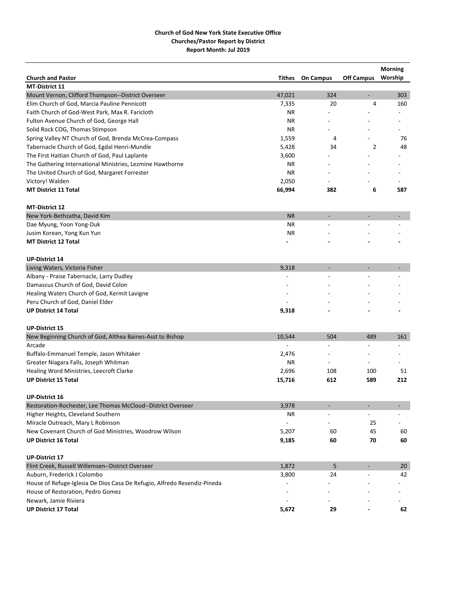|                                                                          |                          |                          |                          | <b>Morning</b>           |
|--------------------------------------------------------------------------|--------------------------|--------------------------|--------------------------|--------------------------|
| <b>Church and Pastor</b>                                                 | Tithes                   | <b>On Campus</b>         | <b>Off Campus</b>        | Worship                  |
| <b>MT-District 11</b>                                                    |                          |                          |                          |                          |
| Mount Vernon, Clifford Thompson--District Overseer                       | 47,021                   | 324                      | $\overline{\phantom{0}}$ | 303                      |
| Elim Church of God, Marcia Pauline Pennicott                             | 7,335                    | 20<br>$\overline{a}$     | 4                        | 160                      |
| Faith Church of God-West Park, Max R. Faricloth                          | <b>NR</b>                |                          |                          |                          |
| Fulton Avenue Church of God, George Hall                                 | ΝR                       |                          |                          |                          |
| Solid Rock COG, Thomas Stimpson                                          | <b>NR</b>                | $\overline{a}$           |                          |                          |
| Spring Valley NT Church of God, Brenda McCrea-Compass                    | 1,559                    | 4                        |                          | 76                       |
| Tabernacle Church of God, Egdal Henri-Mundle                             | 5,428                    | 34                       | 2                        | 48                       |
| The First Haitian Church of God, Paul Laplante                           | 3,600                    |                          |                          |                          |
| The Gathering International Ministries, Lezmine Hawthorne                | <b>NR</b>                |                          |                          |                          |
| The United Church of God, Margaret Forrester                             | <b>NR</b>                |                          |                          |                          |
| Victory! Walden                                                          | 2,050                    |                          |                          |                          |
| <b>MT District 11 Total</b>                                              | 66,994                   | 382                      | 6                        | 587                      |
| <b>MT-District 12</b>                                                    |                          |                          |                          |                          |
| New York-Bethzatha, David Kim                                            | <b>NR</b>                |                          |                          |                          |
| Dae Myung, Yoon Yong-Duk                                                 | ΝR                       |                          |                          |                          |
| Jusim Korean, Yong Kun Yun                                               | <b>NR</b>                |                          |                          |                          |
| <b>MT District 12 Total</b>                                              |                          |                          |                          |                          |
| <b>UP-District 14</b>                                                    |                          |                          |                          |                          |
| Living Waters, Victoria Fisher                                           | 9,318                    | ۰                        |                          |                          |
| Albany - Praise Tabernacle, Larry Dudley                                 |                          |                          |                          |                          |
| Damascus Church of God, David Colon                                      |                          |                          |                          |                          |
| Healing Waters Church of God, Kermit Lavigne                             |                          |                          |                          |                          |
| Peru Church of God, Daniel Elder                                         |                          |                          |                          |                          |
| <b>UP District 14 Total</b>                                              | 9,318                    |                          |                          |                          |
|                                                                          |                          |                          |                          |                          |
| <b>UP-District 15</b>                                                    |                          |                          |                          |                          |
| New Beginning Church of God, Althea Baines-Asst to Bishop                | 10,544                   | 504                      | 489                      | 161                      |
| Arcade                                                                   |                          |                          |                          |                          |
| Buffalo-Emmanuel Temple, Jason Whitaker                                  | 2,476                    |                          |                          |                          |
| Greater Niagara Falls, Joseph Whitman                                    | ΝR                       | $\overline{\phantom{0}}$ | $\overline{\phantom{0}}$ | $\overline{\phantom{a}}$ |
| Healing Word Ministries, Leecroft Clarke                                 | 2,696                    | 108                      | 100                      | 51                       |
| <b>UP District 15 Total</b>                                              | 15,716                   | 612                      | 589                      | 212                      |
| <b>UP-District 16</b>                                                    |                          |                          |                          |                          |
| Restoration-Rochester, Lee Thomas McCloud--District Overseer             | 3,978                    |                          |                          |                          |
| Higher Heights, Cleveland Southern                                       | ΝR                       |                          | $\overline{\phantom{0}}$ | $\overline{\phantom{a}}$ |
| Miracle Outreach, Mary L Robinson                                        | $\overline{\phantom{a}}$ |                          | 25                       | $\overline{\phantom{a}}$ |
| New Covenant Church of God Ministries, Woodrow Wilson                    | 5,207                    | 60                       | 45                       | 60                       |
| <b>UP District 16 Total</b>                                              | 9,185                    | 60                       | 70                       | 60                       |
| <b>UP-District 17</b>                                                    |                          |                          |                          |                          |
| Flint Creek, Russell Willemsen--District Overseer                        | 1,872                    | 5                        |                          | 20                       |
| Auburn, Frederick J Colombo                                              | 3,800                    | 24                       |                          | 42                       |
| House of Refuge-Iglesia De Dios Casa De Refugio, Alfredo Resendiz-Pineda |                          |                          |                          |                          |
| House of Restoration, Pedro Gomez                                        |                          |                          |                          |                          |
| Newark, Jamie Riviera                                                    |                          |                          |                          |                          |
| <b>UP District 17 Total</b>                                              | 5,672                    | 29                       |                          | 62                       |
|                                                                          |                          |                          |                          |                          |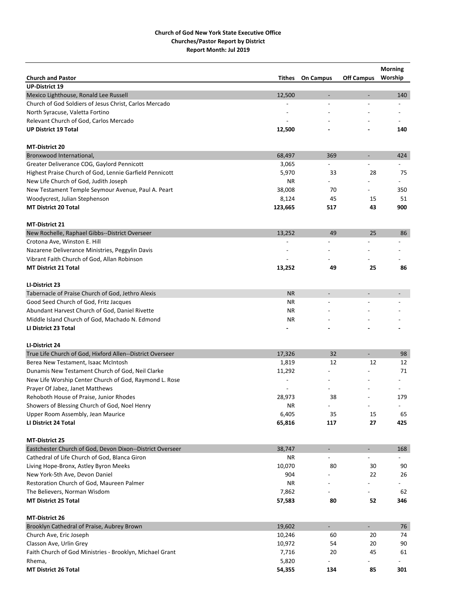|                                                           |                |                          |                              | <b>Morning</b>           |
|-----------------------------------------------------------|----------------|--------------------------|------------------------------|--------------------------|
| <b>Church and Pastor</b>                                  | <b>Tithes</b>  | <b>On Campus</b>         | <b>Off Campus</b>            | Worship                  |
| <b>UP-District 19</b>                                     |                |                          |                              |                          |
| Mexico Lighthouse, Ronald Lee Russell                     | 12,500         | $\overline{\phantom{a}}$ |                              | 140                      |
| Church of God Soldiers of Jesus Christ, Carlos Mercado    |                |                          |                              |                          |
| North Syracuse, Valetta Fortino                           |                |                          |                              |                          |
| Relevant Church of God, Carlos Mercado                    |                |                          |                              |                          |
| <b>UP District 19 Total</b>                               | 12,500         |                          |                              | 140                      |
| <b>MT-District 20</b>                                     |                |                          |                              |                          |
| Bronxwood International,                                  | 68,497         | 369                      | $\qquad \qquad \blacksquare$ | 424                      |
| Greater Deliverance COG, Gaylord Pennicott                | 3,065          |                          |                              |                          |
| Highest Praise Church of God, Lennie Garfield Pennicott   | 5,970          | 33                       | 28                           | 75                       |
| New Life Church of God, Judith Joseph                     | ΝR             |                          |                              |                          |
| New Testament Temple Seymour Avenue, Paul A. Peart        | 38,008         | 70                       |                              | 350                      |
| Woodycrest, Julian Stephenson                             | 8,124          | 45                       | 15                           | 51                       |
| <b>MT District 20 Total</b>                               | 123,665        | 517                      | 43                           | 900                      |
| <b>MT-District 21</b>                                     |                |                          |                              |                          |
| New Rochelle, Raphael Gibbs--District Overseer            | 13,252         | 49                       | 25                           | 86                       |
| Crotona Ave, Winston E. Hill                              |                |                          |                              | $\overline{a}$           |
| Nazarene Deliverance Ministries, Peggylin Davis           |                |                          |                              |                          |
| Vibrant Faith Church of God, Allan Robinson               |                |                          |                              |                          |
| <b>MT District 21 Total</b>                               | 13,252         | 49                       | 25                           | 86                       |
|                                                           |                |                          |                              |                          |
| LI-District 23                                            |                |                          |                              |                          |
| Tabernacle of Praise Church of God, Jethro Alexis         | <b>NR</b>      |                          |                              |                          |
| Good Seed Church of God, Fritz Jacques                    | ΝR             | $\overline{a}$           |                              |                          |
| Abundant Harvest Church of God, Daniel Rivette            | ΝR             |                          |                              |                          |
| Middle Island Church of God, Machado N. Edmond            | ΝR             |                          |                              |                          |
| LI District 23 Total                                      |                |                          |                              |                          |
| LI-District 24                                            |                |                          |                              |                          |
| True Life Church of God, Hixford Allen--District Overseer | 17,326         | 32                       | $\overline{\phantom{0}}$     | 98                       |
| Berea New Testament, Isaac McIntosh                       | 1,819          | 12                       | 12                           | 12                       |
| Dunamis New Testament Church of God, Neil Clarke          | 11,292         |                          |                              | 71                       |
| New Life Worship Center Church of God, Raymond L. Rose    | $\overline{a}$ |                          |                              |                          |
| Prayer Of Jabez, Janet Matthews                           |                |                          |                              |                          |
| Rehoboth House of Praise, Junior Rhodes                   | 28,973         | 38                       |                              | 179                      |
| Showers of Blessing Church of God, Noel Henry             | <b>NR</b>      |                          |                              | $\overline{\phantom{a}}$ |
| Upper Room Assembly, Jean Maurice                         | 6,405          | 35                       | 15                           | 65                       |
| LI District 24 Total                                      | 65,816         | 117                      | 27                           | 425                      |
| <b>MT-District 25</b>                                     |                |                          |                              |                          |
| Eastchester Church of God, Devon Dixon--District Overseer | 38,747         | $\blacksquare$           | $\overline{\phantom{a}}$     | 168                      |
| Cathedral of Life Church of God, Blanca Giron             | ΝR             |                          |                              |                          |
| Living Hope-Bronx, Astley Byron Meeks                     | 10,070         | 80                       | 30                           | 90                       |
| New York-5th Ave, Devon Daniel                            | 904            |                          | 22                           | 26                       |
| Restoration Church of God, Maureen Palmer                 | ΝR             | $\overline{\phantom{a}}$ |                              |                          |
| The Believers, Norman Wisdom                              | 7,862          |                          |                              | 62                       |
| <b>MT District 25 Total</b>                               | 57,583         | 80                       | 52                           | 346                      |
| <b>MT-District 26</b>                                     |                |                          |                              |                          |
| Brooklyn Cathedral of Praise, Aubrey Brown                | 19,602         | ÷.                       | $\blacksquare$               | 76                       |
| Church Ave, Eric Joseph                                   | 10,246         | 60                       | 20                           | 74                       |
| Classon Ave, Urlin Grey                                   | 10,972         | 54                       | 20                           | 90                       |
| Faith Church of God Ministries - Brooklyn, Michael Grant  | 7,716          | 20                       | 45                           | 61                       |
| Rhema,                                                    | 5,820          |                          |                              | $\overline{\phantom{a}}$ |
| <b>MT District 26 Total</b>                               | 54,355         | 134                      | 85                           | 301                      |